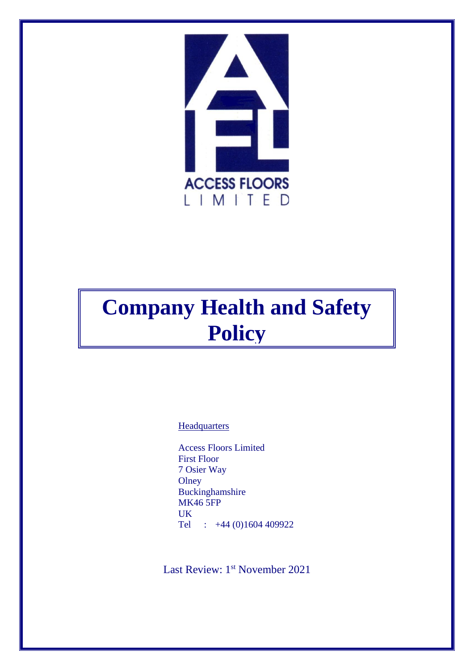

# **Company Health and Safety Policy**

**Headquarters** 

Access Floors Limited First Floor 7 Osier Way **Olney** Buckinghamshire MK46 5FP UK Tel : +44 (0)1604 409922

Last Review: 1<sup>st</sup> November 2021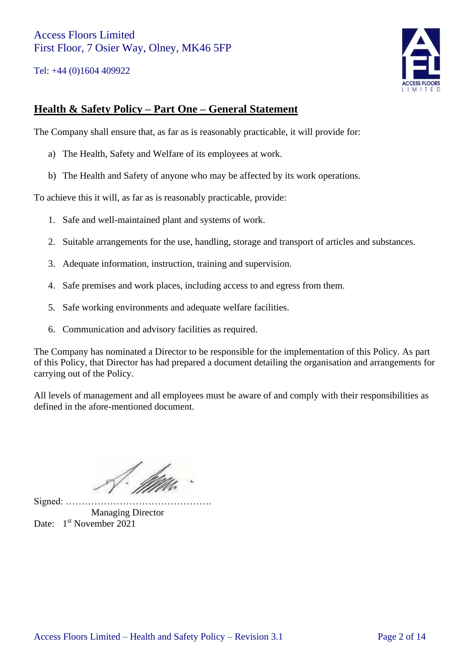Tel: +44 (0)1604 409922



# **Health & Safety Policy – Part One – General Statement**

The Company shall ensure that, as far as is reasonably practicable, it will provide for:

- a) The Health, Safety and Welfare of its employees at work.
- b) The Health and Safety of anyone who may be affected by its work operations.

To achieve this it will, as far as is reasonably practicable, provide:

- 1. Safe and well-maintained plant and systems of work.
- 2. Suitable arrangements for the use, handling, storage and transport of articles and substances.
- 3. Adequate information, instruction, training and supervision.
- 4. Safe premises and work places, including access to and egress from them.
- 5. Safe working environments and adequate welfare facilities.
- 6. Communication and advisory facilities as required.

The Company has nominated a Director to be responsible for the implementation of this Policy. As part of this Policy, that Director has had prepared a document detailing the organisation and arrangements for carrying out of the Policy.

All levels of management and all employees must be aware of and comply with their responsibilities as defined in the afore-mentioned document.

 $Signed: \ldots \ldots$ Managing Director Date: 1<sup>st</sup> November 2021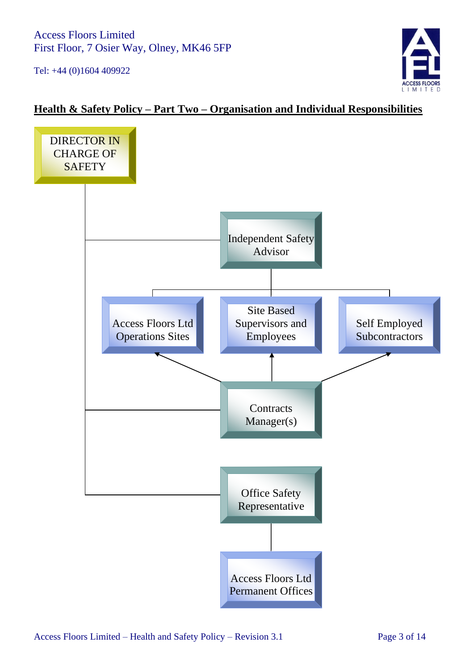Tel: +44 (0)1604 409922



# **Health & Safety Policy – Part Two – Organisation and Individual Responsibilities**

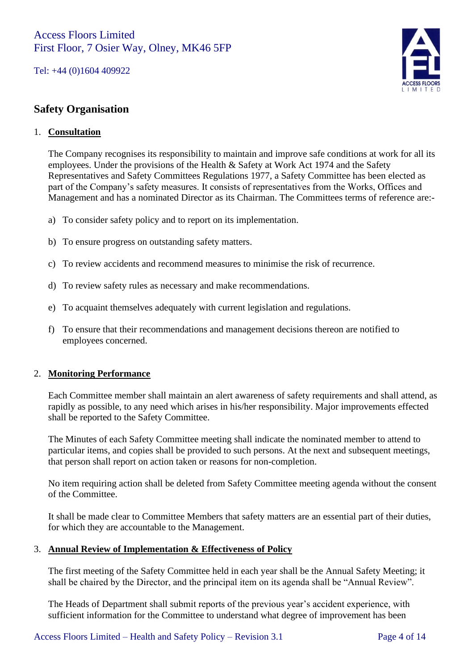Tel: +44 (0)1604 409922



## **Safety Organisation**

## 1. **Consultation**

The Company recognises its responsibility to maintain and improve safe conditions at work for all its employees. Under the provisions of the Health & Safety at Work Act 1974 and the Safety Representatives and Safety Committees Regulations 1977, a Safety Committee has been elected as part of the Company's safety measures. It consists of representatives from the Works, Offices and Management and has a nominated Director as its Chairman. The Committees terms of reference are:-

- a) To consider safety policy and to report on its implementation.
- b) To ensure progress on outstanding safety matters.
- c) To review accidents and recommend measures to minimise the risk of recurrence.
- d) To review safety rules as necessary and make recommendations.
- e) To acquaint themselves adequately with current legislation and regulations.
- f) To ensure that their recommendations and management decisions thereon are notified to employees concerned.

#### 2. **Monitoring Performance**

Each Committee member shall maintain an alert awareness of safety requirements and shall attend, as rapidly as possible, to any need which arises in his/her responsibility. Major improvements effected shall be reported to the Safety Committee.

The Minutes of each Safety Committee meeting shall indicate the nominated member to attend to particular items, and copies shall be provided to such persons. At the next and subsequent meetings, that person shall report on action taken or reasons for non-completion.

No item requiring action shall be deleted from Safety Committee meeting agenda without the consent of the Committee.

It shall be made clear to Committee Members that safety matters are an essential part of their duties, for which they are accountable to the Management.

#### 3. **Annual Review of Implementation & Effectiveness of Policy**

The first meeting of the Safety Committee held in each year shall be the Annual Safety Meeting; it shall be chaired by the Director, and the principal item on its agenda shall be "Annual Review".

The Heads of Department shall submit reports of the previous year's accident experience, with sufficient information for the Committee to understand what degree of improvement has been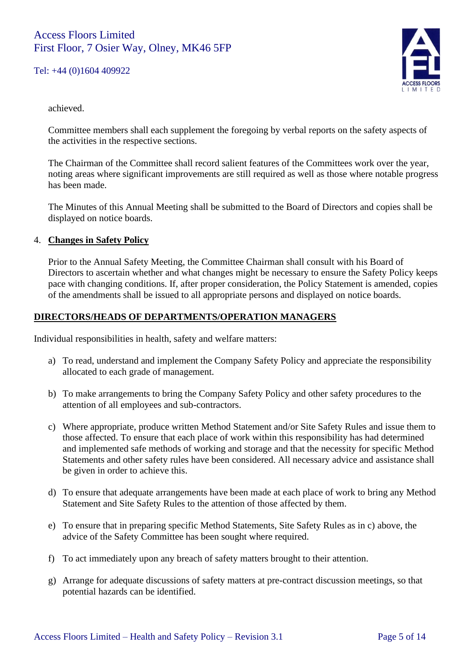Tel: +44 (0)1604 409922



achieved.

Committee members shall each supplement the foregoing by verbal reports on the safety aspects of the activities in the respective sections.

The Chairman of the Committee shall record salient features of the Committees work over the year, noting areas where significant improvements are still required as well as those where notable progress has been made.

The Minutes of this Annual Meeting shall be submitted to the Board of Directors and copies shall be displayed on notice boards.

## 4. **Changes in Safety Policy**

Prior to the Annual Safety Meeting, the Committee Chairman shall consult with his Board of Directors to ascertain whether and what changes might be necessary to ensure the Safety Policy keeps pace with changing conditions. If, after proper consideration, the Policy Statement is amended, copies of the amendments shall be issued to all appropriate persons and displayed on notice boards.

## **DIRECTORS/HEADS OF DEPARTMENTS/OPERATION MANAGERS**

Individual responsibilities in health, safety and welfare matters:

- a) To read, understand and implement the Company Safety Policy and appreciate the responsibility allocated to each grade of management.
- b) To make arrangements to bring the Company Safety Policy and other safety procedures to the attention of all employees and sub-contractors.
- c) Where appropriate, produce written Method Statement and/or Site Safety Rules and issue them to those affected. To ensure that each place of work within this responsibility has had determined and implemented safe methods of working and storage and that the necessity for specific Method Statements and other safety rules have been considered. All necessary advice and assistance shall be given in order to achieve this.
- d) To ensure that adequate arrangements have been made at each place of work to bring any Method Statement and Site Safety Rules to the attention of those affected by them.
- e) To ensure that in preparing specific Method Statements, Site Safety Rules as in c) above, the advice of the Safety Committee has been sought where required.
- f) To act immediately upon any breach of safety matters brought to their attention.
- g) Arrange for adequate discussions of safety matters at pre-contract discussion meetings, so that potential hazards can be identified.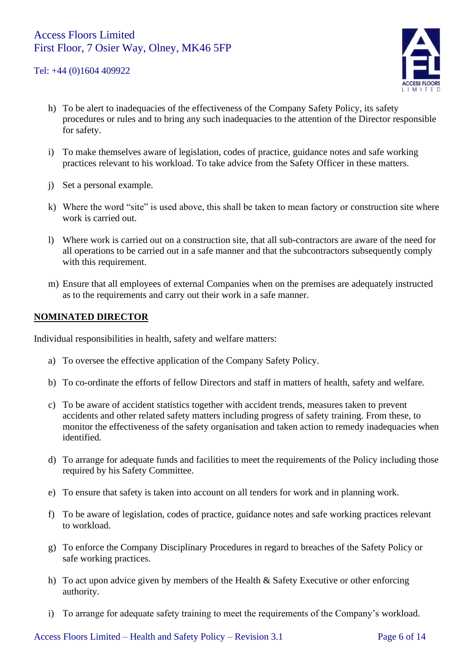## Tel: +44 (0)1604 409922



- h) To be alert to inadequacies of the effectiveness of the Company Safety Policy, its safety procedures or rules and to bring any such inadequacies to the attention of the Director responsible for safety.
- i) To make themselves aware of legislation, codes of practice, guidance notes and safe working practices relevant to his workload. To take advice from the Safety Officer in these matters.
- j) Set a personal example.
- k) Where the word "site" is used above, this shall be taken to mean factory or construction site where work is carried out.
- l) Where work is carried out on a construction site, that all sub-contractors are aware of the need for all operations to be carried out in a safe manner and that the subcontractors subsequently comply with this requirement.
- m) Ensure that all employees of external Companies when on the premises are adequately instructed as to the requirements and carry out their work in a safe manner.

## **NOMINATED DIRECTOR**

Individual responsibilities in health, safety and welfare matters:

- a) To oversee the effective application of the Company Safety Policy.
- b) To co-ordinate the efforts of fellow Directors and staff in matters of health, safety and welfare.
- c) To be aware of accident statistics together with accident trends, measures taken to prevent accidents and other related safety matters including progress of safety training. From these, to monitor the effectiveness of the safety organisation and taken action to remedy inadequacies when identified.
- d) To arrange for adequate funds and facilities to meet the requirements of the Policy including those required by his Safety Committee.
- e) To ensure that safety is taken into account on all tenders for work and in planning work.
- f) To be aware of legislation, codes of practice, guidance notes and safe working practices relevant to workload.
- g) To enforce the Company Disciplinary Procedures in regard to breaches of the Safety Policy or safe working practices.
- h) To act upon advice given by members of the Health & Safety Executive or other enforcing authority.
- i) To arrange for adequate safety training to meet the requirements of the Company's workload.

Access Floors Limited – Health and Safety Policy – Revision 3.1 Page 6 of 14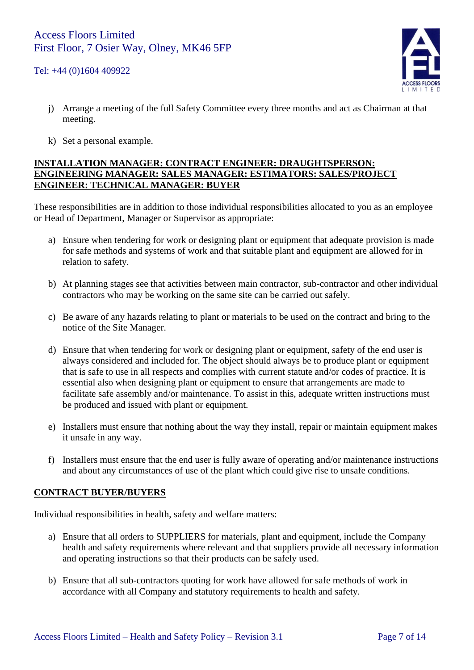## Tel: +44 (0)1604 409922



- j) Arrange a meeting of the full Safety Committee every three months and act as Chairman at that meeting.
- k) Set a personal example.

## **INSTALLATION MANAGER: CONTRACT ENGINEER: DRAUGHTSPERSON: ENGINEERING MANAGER: SALES MANAGER: ESTIMATORS: SALES/PROJECT ENGINEER: TECHNICAL MANAGER: BUYER**

These responsibilities are in addition to those individual responsibilities allocated to you as an employee or Head of Department, Manager or Supervisor as appropriate:

- a) Ensure when tendering for work or designing plant or equipment that adequate provision is made for safe methods and systems of work and that suitable plant and equipment are allowed for in relation to safety.
- b) At planning stages see that activities between main contractor, sub-contractor and other individual contractors who may be working on the same site can be carried out safely.
- c) Be aware of any hazards relating to plant or materials to be used on the contract and bring to the notice of the Site Manager.
- d) Ensure that when tendering for work or designing plant or equipment, safety of the end user is always considered and included for. The object should always be to produce plant or equipment that is safe to use in all respects and complies with current statute and/or codes of practice. It is essential also when designing plant or equipment to ensure that arrangements are made to facilitate safe assembly and/or maintenance. To assist in this, adequate written instructions must be produced and issued with plant or equipment.
- e) Installers must ensure that nothing about the way they install, repair or maintain equipment makes it unsafe in any way.
- f) Installers must ensure that the end user is fully aware of operating and/or maintenance instructions and about any circumstances of use of the plant which could give rise to unsafe conditions.

## **CONTRACT BUYER/BUYERS**

Individual responsibilities in health, safety and welfare matters:

- a) Ensure that all orders to SUPPLIERS for materials, plant and equipment, include the Company health and safety requirements where relevant and that suppliers provide all necessary information and operating instructions so that their products can be safely used.
- b) Ensure that all sub-contractors quoting for work have allowed for safe methods of work in accordance with all Company and statutory requirements to health and safety.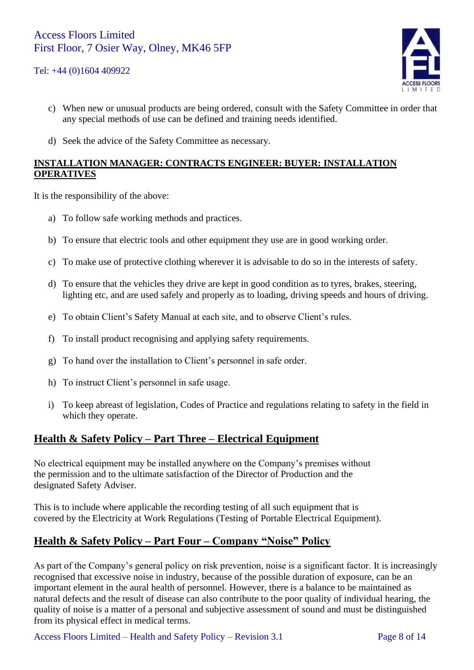## Tel: +44 (0)1604 409922



- c) When new or unusual products are being ordered, consult with the Safety Committee in order that any special methods of use can be defined and training needs identified.
- d) Seek the advice of the Safety Committee as necessary.

## **INSTALLATION MANAGER: CONTRACTS ENGINEER: BUYER: INSTALLATION OPERATIVES**

It is the responsibility of the above:

- a) To follow safe working methods and practices.
- b) To ensure that electric tools and other equipment they use are in good working order.
- c) To make use of protective clothing wherever it is advisable to do so in the interests of safety.
- d) To ensure that the vehicles they drive are kept in good condition as to tyres, brakes, steering, lighting etc, and are used safely and properly as to loading, driving speeds and hours of driving.
- e) To obtain Client's Safety Manual at each site, and to observe Client's rules.
- f) To install product recognising and applying safety requirements.
- g) To hand over the installation to Client's personnel in safe order.
- h) To instruct Client's personnel in safe usage.
- i) To keep abreast of legislation, Codes of Practice and regulations relating to safety in the field in which they operate.

## **Health & Safety Policy – Part Three – Electrical Equipment**

No electrical equipment may be installed anywhere on the Company's premises without the permission and to the ultimate satisfaction of the Director of Production and the designated Safety Adviser.

This is to include where applicable the recording testing of all such equipment that is covered by the Electricity at Work Regulations (Testing of Portable Electrical Equipment).

# **Health & Safety Policy – Part Four – Company "Noise" Policy**

As part of the Company's general policy on risk prevention, noise is a significant factor. It is increasingly recognised that excessive noise in industry, because of the possible duration of exposure, can be an important element in the aural health of personnel. However, there is a balance to be maintained as natural defects and the result of disease can also contribute to the poor quality of individual hearing, the quality of noise is a matter of a personal and subjective assessment of sound and must be distinguished from its physical effect in medical terms.

Access Floors Limited – Health and Safety Policy – Revision 3.1 Page 8 of 14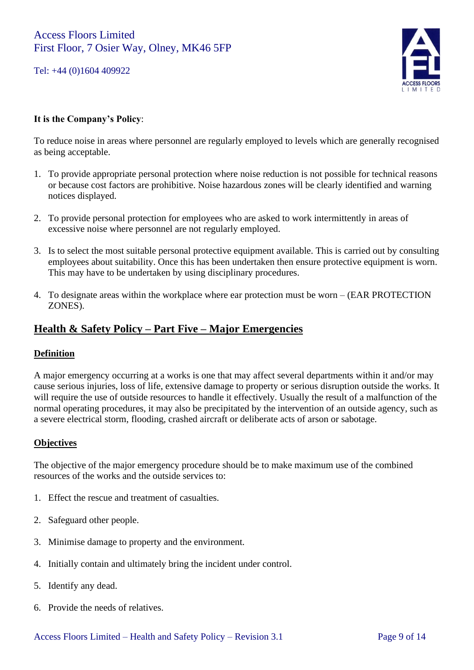Tel: +44 (0)1604 409922



## **It is the Company's Policy**:

To reduce noise in areas where personnel are regularly employed to levels which are generally recognised as being acceptable.

- 1. To provide appropriate personal protection where noise reduction is not possible for technical reasons or because cost factors are prohibitive. Noise hazardous zones will be clearly identified and warning notices displayed.
- 2. To provide personal protection for employees who are asked to work intermittently in areas of excessive noise where personnel are not regularly employed.
- 3. Is to select the most suitable personal protective equipment available. This is carried out by consulting employees about suitability. Once this has been undertaken then ensure protective equipment is worn. This may have to be undertaken by using disciplinary procedures.
- 4. To designate areas within the workplace where ear protection must be worn (EAR PROTECTION ZONES).

## **Health & Safety Policy – Part Five – Major Emergencies**

#### **Definition**

A major emergency occurring at a works is one that may affect several departments within it and/or may cause serious injuries, loss of life, extensive damage to property or serious disruption outside the works. It will require the use of outside resources to handle it effectively. Usually the result of a malfunction of the normal operating procedures, it may also be precipitated by the intervention of an outside agency, such as a severe electrical storm, flooding, crashed aircraft or deliberate acts of arson or sabotage.

#### **Objectives**

The objective of the major emergency procedure should be to make maximum use of the combined resources of the works and the outside services to:

- 1. Effect the rescue and treatment of casualties.
- 2. Safeguard other people.
- 3. Minimise damage to property and the environment.
- 4. Initially contain and ultimately bring the incident under control.
- 5. Identify any dead.
- 6. Provide the needs of relatives.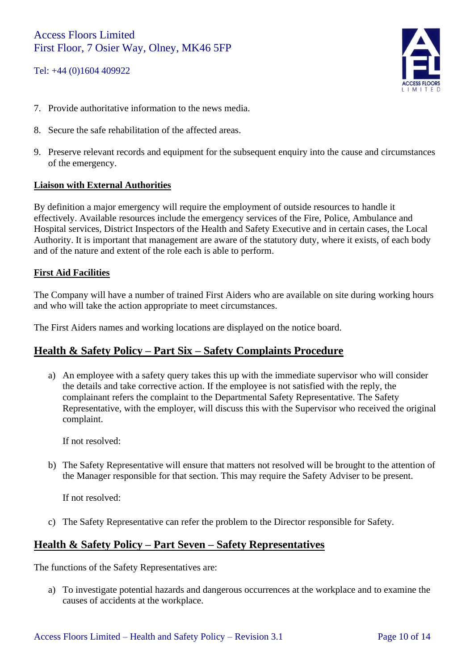## Tel: +44 (0)1604 409922



- 7. Provide authoritative information to the news media.
- 8. Secure the safe rehabilitation of the affected areas.
- 9. Preserve relevant records and equipment for the subsequent enquiry into the cause and circumstances of the emergency.

#### **Liaison with External Authorities**

By definition a major emergency will require the employment of outside resources to handle it effectively. Available resources include the emergency services of the Fire, Police, Ambulance and Hospital services, District Inspectors of the Health and Safety Executive and in certain cases, the Local Authority. It is important that management are aware of the statutory duty, where it exists, of each body and of the nature and extent of the role each is able to perform.

#### **First Aid Facilities**

The Company will have a number of trained First Aiders who are available on site during working hours and who will take the action appropriate to meet circumstances.

The First Aiders names and working locations are displayed on the notice board.

## **Health & Safety Policy – Part Six – Safety Complaints Procedure**

a) An employee with a safety query takes this up with the immediate supervisor who will consider the details and take corrective action. If the employee is not satisfied with the reply, the complainant refers the complaint to the Departmental Safety Representative. The Safety Representative, with the employer, will discuss this with the Supervisor who received the original complaint.

If not resolved:

b) The Safety Representative will ensure that matters not resolved will be brought to the attention of the Manager responsible for that section. This may require the Safety Adviser to be present.

If not resolved:

c) The Safety Representative can refer the problem to the Director responsible for Safety.

## **Health & Safety Policy – Part Seven – Safety Representatives**

The functions of the Safety Representatives are:

a) To investigate potential hazards and dangerous occurrences at the workplace and to examine the causes of accidents at the workplace.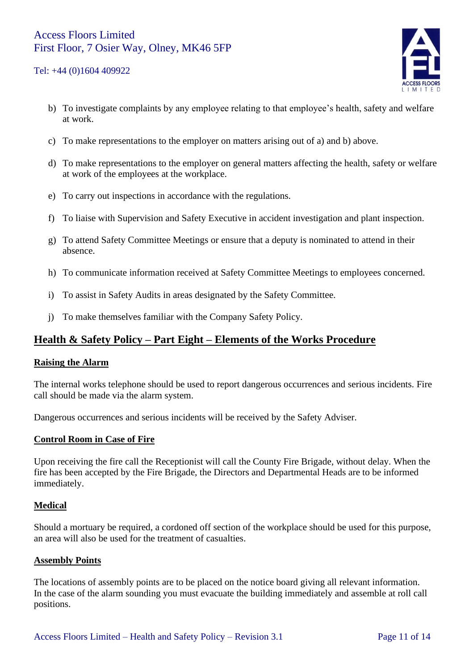## Tel: +44 (0)1604 409922



- b) To investigate complaints by any employee relating to that employee's health, safety and welfare at work.
- c) To make representations to the employer on matters arising out of a) and b) above.
- d) To make representations to the employer on general matters affecting the health, safety or welfare at work of the employees at the workplace.
- e) To carry out inspections in accordance with the regulations.
- f) To liaise with Supervision and Safety Executive in accident investigation and plant inspection.
- g) To attend Safety Committee Meetings or ensure that a deputy is nominated to attend in their absence.
- h) To communicate information received at Safety Committee Meetings to employees concerned.
- i) To assist in Safety Audits in areas designated by the Safety Committee.
- j) To make themselves familiar with the Company Safety Policy.

# **Health & Safety Policy – Part Eight – Elements of the Works Procedure**

#### **Raising the Alarm**

The internal works telephone should be used to report dangerous occurrences and serious incidents. Fire call should be made via the alarm system.

Dangerous occurrences and serious incidents will be received by the Safety Adviser.

#### **Control Room in Case of Fire**

Upon receiving the fire call the Receptionist will call the County Fire Brigade, without delay. When the fire has been accepted by the Fire Brigade, the Directors and Departmental Heads are to be informed immediately.

#### **Medical**

Should a mortuary be required, a cordoned off section of the workplace should be used for this purpose, an area will also be used for the treatment of casualties.

#### **Assembly Points**

The locations of assembly points are to be placed on the notice board giving all relevant information. In the case of the alarm sounding you must evacuate the building immediately and assemble at roll call positions.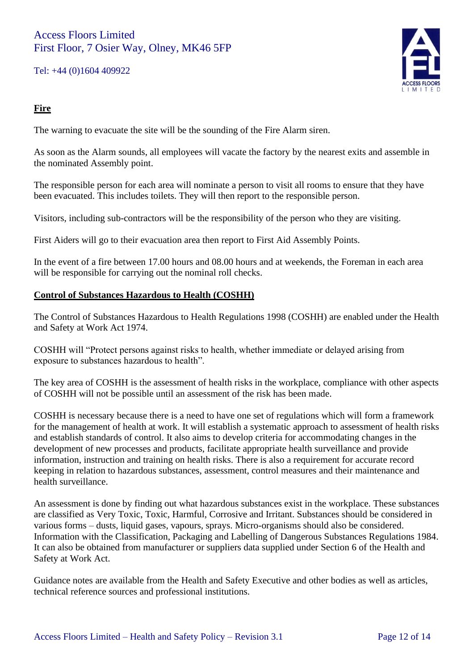Tel: +44 (0)1604 409922



## **Fire**

The warning to evacuate the site will be the sounding of the Fire Alarm siren.

As soon as the Alarm sounds, all employees will vacate the factory by the nearest exits and assemble in the nominated Assembly point.

The responsible person for each area will nominate a person to visit all rooms to ensure that they have been evacuated. This includes toilets. They will then report to the responsible person.

Visitors, including sub-contractors will be the responsibility of the person who they are visiting.

First Aiders will go to their evacuation area then report to First Aid Assembly Points.

In the event of a fire between 17.00 hours and 08.00 hours and at weekends, the Foreman in each area will be responsible for carrying out the nominal roll checks.

## **Control of Substances Hazardous to Health (COSHH)**

The Control of Substances Hazardous to Health Regulations 1998 (COSHH) are enabled under the Health and Safety at Work Act 1974.

COSHH will "Protect persons against risks to health, whether immediate or delayed arising from exposure to substances hazardous to health".

The key area of COSHH is the assessment of health risks in the workplace, compliance with other aspects of COSHH will not be possible until an assessment of the risk has been made.

COSHH is necessary because there is a need to have one set of regulations which will form a framework for the management of health at work. It will establish a systematic approach to assessment of health risks and establish standards of control. It also aims to develop criteria for accommodating changes in the development of new processes and products, facilitate appropriate health surveillance and provide information, instruction and training on health risks. There is also a requirement for accurate record keeping in relation to hazardous substances, assessment, control measures and their maintenance and health surveillance.

An assessment is done by finding out what hazardous substances exist in the workplace. These substances are classified as Very Toxic, Toxic, Harmful, Corrosive and Irritant. Substances should be considered in various forms – dusts, liquid gases, vapours, sprays. Micro-organisms should also be considered. Information with the Classification, Packaging and Labelling of Dangerous Substances Regulations 1984. It can also be obtained from manufacturer or suppliers data supplied under Section 6 of the Health and Safety at Work Act.

Guidance notes are available from the Health and Safety Executive and other bodies as well as articles, technical reference sources and professional institutions.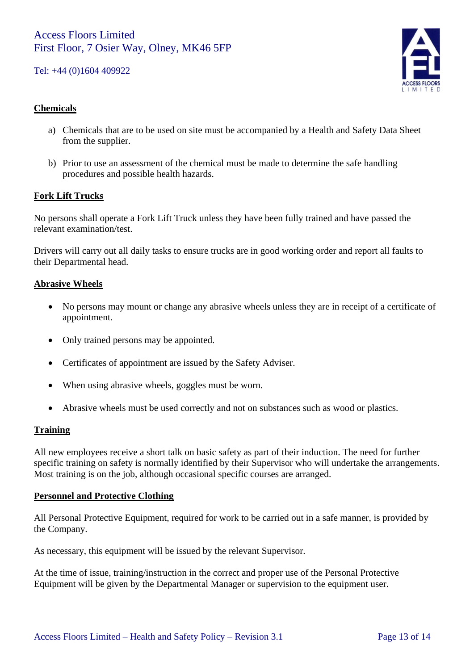Tel: +44 (0)1604 409922



## **Chemicals**

- a) Chemicals that are to be used on site must be accompanied by a Health and Safety Data Sheet from the supplier.
- b) Prior to use an assessment of the chemical must be made to determine the safe handling procedures and possible health hazards.

#### **Fork Lift Trucks**

No persons shall operate a Fork Lift Truck unless they have been fully trained and have passed the relevant examination/test.

Drivers will carry out all daily tasks to ensure trucks are in good working order and report all faults to their Departmental head.

#### **Abrasive Wheels**

- No persons may mount or change any abrasive wheels unless they are in receipt of a certificate of appointment.
- Only trained persons may be appointed.
- Certificates of appointment are issued by the Safety Adviser.
- When using abrasive wheels, goggles must be worn.
- Abrasive wheels must be used correctly and not on substances such as wood or plastics.

#### **Training**

All new employees receive a short talk on basic safety as part of their induction. The need for further specific training on safety is normally identified by their Supervisor who will undertake the arrangements. Most training is on the job, although occasional specific courses are arranged.

#### **Personnel and Protective Clothing**

All Personal Protective Equipment, required for work to be carried out in a safe manner, is provided by the Company.

As necessary, this equipment will be issued by the relevant Supervisor.

At the time of issue, training/instruction in the correct and proper use of the Personal Protective Equipment will be given by the Departmental Manager or supervision to the equipment user.